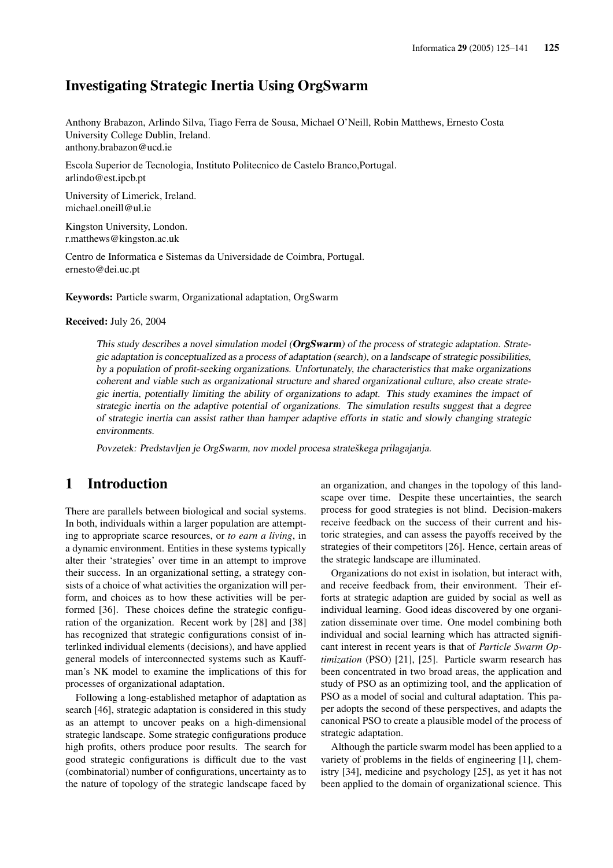# Investigating Strategic Inertia Using OrgSwarm

Anthony Brabazon, Arlindo Silva, Tiago Ferra de Sousa, Michael O'Neill, Robin Matthews, Ernesto Costa University College Dublin, Ireland. anthony.brabazon@ucd.ie

Escola Superior de Tecnologia, Instituto Politecnico de Castelo Branco,Portugal. arlindo@est.ipcb.pt

University of Limerick, Ireland. michael.oneill@ul.ie

Kingston University, London. r.matthews@kingston.ac.uk

Centro de Informatica e Sistemas da Universidade de Coimbra, Portugal. ernesto@dei.uc.pt

Keywords: Particle swarm, Organizational adaptation, OrgSwarm

Received: July 26, 2004

This study describes a novel simulation model (OrgSwarm) of the process of strategic adaptation. Strategic adaptation is conceptualized as <sup>a</sup> process of adaptation (search), on <sup>a</sup> landscape of strategic possibilities, by <sup>a</sup> population of profit-seeking organizations. Unfortunately, the characteristics that make organizations coherent and viable such as organizational structure and shared organizational culture, also create strategic inertia, potentially limiting the ability of organizations to adapt. This study examines the impact of strategic inertia on the adaptive potential of organizations. The simulation results suggest that <sup>a</sup> degree of strategic inertia can assist rather than hamper adaptive efforts in static and slowly changing strategic environments.

Povzetek: Predstavljen je OrgSwarm, nov model procesa strateškega prilagajanja.

## 1 Introduction

There are parallels between biological and social systems. In both, individuals within a larger population are attempting to appropriate scarce resources, or *to earn a living*, in a dynamic environment. Entities in these systems typically alter their 'strategies' over time in an attempt to improve their success. In an organizational setting, a strategy consists of a choice of what activities the organization will perform, and choices as to how these activities will be performed [36]. These choices define the strategic configuration of the organization. Recent work by [28] and [38] has recognized that strategic configurations consist of interlinked individual elements (decisions), and have applied general models of interconnected systems such as Kauffman's NK model to examine the implications of this for processes of organizational adaptation.

Following a long-established metaphor of adaptation as search [46], strategic adaptation is considered in this study as an attempt to uncover peaks on a high-dimensional strategic landscape. Some strategic configurations produce high profits, others produce poor results. The search for good strategic configurations is difficult due to the vast (combinatorial) number of configurations, uncertainty as to the nature of topology of the strategic landscape faced by

an organization, and changes in the topology of this landscape over time. Despite these uncertainties, the search process for good strategies is not blind. Decision-makers receive feedback on the success of their current and historic strategies, and can assess the payoffs received by the strategies of their competitors [26]. Hence, certain areas of the strategic landscape are illuminated.

Organizations do not exist in isolation, but interact with, and receive feedback from, their environment. Their efforts at strategic adaption are guided by social as well as individual learning. Good ideas discovered by one organization disseminate over time. One model combining both individual and social learning which has attracted significant interest in recent years is that of *Particle Swarm Optimization* (PSO) [21], [25]. Particle swarm research has been concentrated in two broad areas, the application and study of PSO as an optimizing tool, and the application of PSO as a model of social and cultural adaptation. This paper adopts the second of these perspectives, and adapts the canonical PSO to create a plausible model of the process of strategic adaptation.

Although the particle swarm model has been applied to a variety of problems in the fields of engineering [1], chemistry [34], medicine and psychology [25], as yet it has not been applied to the domain of organizational science. This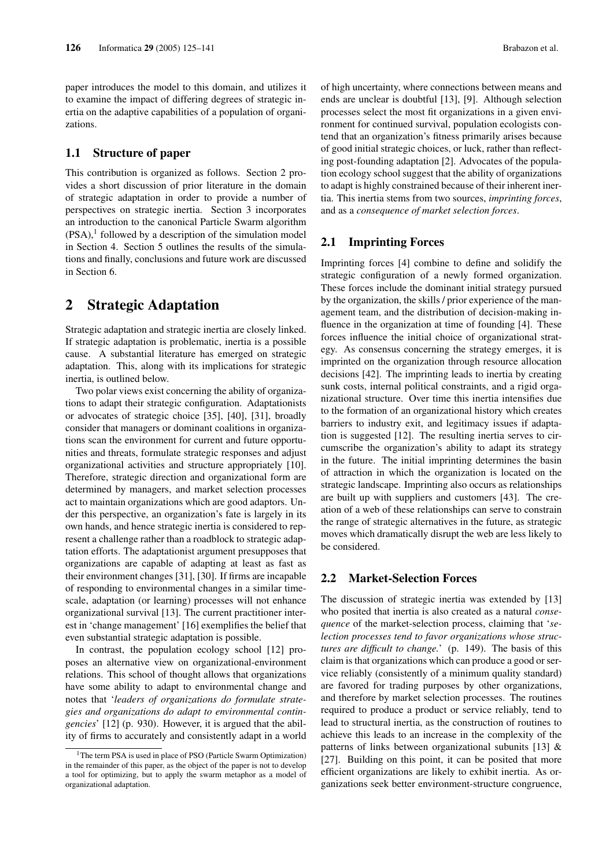paper introduces the model to this domain, and utilizes it to examine the impact of differing degrees of strategic inertia on the adaptive capabilities of a population of organizations.

## 1.1 Structure of paper

This contribution is organized as follows. Section 2 provides a short discussion of prior literature in the domain of strategic adaptation in order to provide a number of perspectives on strategic inertia. Section 3 incorporates an introduction to the canonical Particle Swarm algorithm  $(PSA)$ ,<sup>1</sup> followed by a description of the simulation model in Section 4. Section 5 outlines the results of the simulations and finally, conclusions and future work are discussed in Section 6.

# 2 Strategic Adaptation

Strategic adaptation and strategic inertia are closely linked. If strategic adaptation is problematic, inertia is a possible cause. A substantial literature has emerged on strategic adaptation. This, along with its implications for strategic inertia, is outlined below.

Two polar views exist concerning the ability of organizations to adapt their strategic configuration. Adaptationists or advocates of strategic choice [35], [40], [31], broadly consider that managers or dominant coalitions in organizations scan the environment for current and future opportunities and threats, formulate strategic responses and adjust organizational activities and structure appropriately [10]. Therefore, strategic direction and organizational form are determined by managers, and market selection processes act to maintain organizations which are good adaptors. Under this perspective, an organization's fate is largely in its own hands, and hence strategic inertia is considered to represent a challenge rather than a roadblock to strategic adaptation efforts. The adaptationist argument presupposes that organizations are capable of adapting at least as fast as their environment changes [31], [30]. If firms are incapable of responding to environmental changes in a similar timescale, adaptation (or learning) processes will not enhance organizational survival [13]. The current practitioner interest in 'change management' [16] exemplifies the belief that even substantial strategic adaptation is possible.

In contrast, the population ecology school [12] proposes an alternative view on organizational-environment relations. This school of thought allows that organizations have some ability to adapt to environmental change and notes that '*leaders of organizations do formulate strategies and organizations do adapt to environmental contingencies*' [12] (p. 930). However, it is argued that the ability of firms to accurately and consistently adapt in a world of high uncertainty, where connections between means and ends are unclear is doubtful [13], [9]. Although selection processes select the most fit organizations in a given environment for continued survival, population ecologists contend that an organization's fitness primarily arises because of good initial strategic choices, or luck, rather than reflecting post-founding adaptation [2]. Advocates of the population ecology school suggest that the ability of organizations to adapt is highly constrained because of their inherent inertia. This inertia stems from two sources, *imprinting forces*, and as a *consequence of market selection forces*.

## 2.1 Imprinting Forces

Imprinting forces [4] combine to define and solidify the strategic configuration of a newly formed organization. These forces include the dominant initial strategy pursued by the organization, the skills / prior experience of the management team, and the distribution of decision-making influence in the organization at time of founding [4]. These forces influence the initial choice of organizational strategy. As consensus concerning the strategy emerges, it is imprinted on the organization through resource allocation decisions [42]. The imprinting leads to inertia by creating sunk costs, internal political constraints, and a rigid organizational structure. Over time this inertia intensifies due to the formation of an organizational history which creates barriers to industry exit, and legitimacy issues if adaptation is suggested [12]. The resulting inertia serves to circumscribe the organization's ability to adapt its strategy in the future. The initial imprinting determines the basin of attraction in which the organization is located on the strategic landscape. Imprinting also occurs as relationships are built up with suppliers and customers [43]. The creation of a web of these relationships can serve to constrain the range of strategic alternatives in the future, as strategic moves which dramatically disrupt the web are less likely to be considered.

### 2.2 Market-Selection Forces

The discussion of strategic inertia was extended by [13] who posited that inertia is also created as a natural *consequence* of the market-selection process, claiming that '*selection processes tend to favor organizations whose structures are difficult to change.*' (p. 149). The basis of this claim is that organizations which can produce a good or service reliably (consistently of a minimum quality standard) are favored for trading purposes by other organizations, and therefore by market selection processes. The routines required to produce a product or service reliably, tend to lead to structural inertia, as the construction of routines to achieve this leads to an increase in the complexity of the patterns of links between organizational subunits [13] & [27]. Building on this point, it can be posited that more efficient organizations are likely to exhibit inertia. As organizations seek better environment-structure congruence,

<sup>&</sup>lt;sup>1</sup>The term PSA is used in place of PSO (Particle Swarm Optimization) in the remainder of this paper, as the object of the paper is not to develop a tool for optimizing, but to apply the swarm metaphor as a model of organizational adaptation.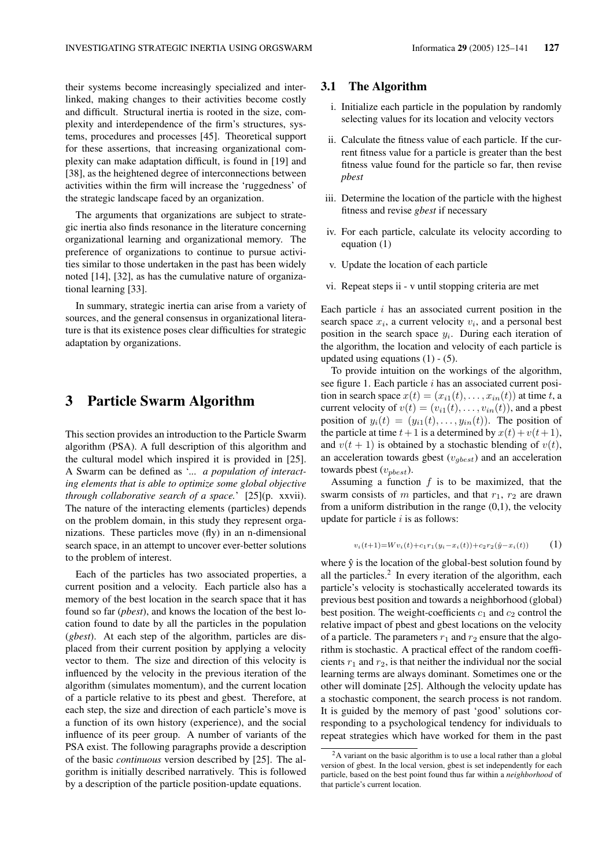their systems become increasingly specialized and interlinked, making changes to their activities become costly and difficult. Structural inertia is rooted in the size, complexity and interdependence of the firm's structures, systems, procedures and processes [45]. Theoretical support for these assertions, that increasing organizational complexity can make adaptation difficult, is found in [19] and [38], as the heightened degree of interconnections between activities within the firm will increase the 'ruggedness' of the strategic landscape faced by an organization.

The arguments that organizations are subject to strategic inertia also finds resonance in the literature concerning organizational learning and organizational memory. The preference of organizations to continue to pursue activities similar to those undertaken in the past has been widely noted [14], [32], as has the cumulative nature of organizational learning [33].

In summary, strategic inertia can arise from a variety of sources, and the general consensus in organizational literature is that its existence poses clear difficulties for strategic adaptation by organizations.

# 3 Particle Swarm Algorithm

This section provides an introduction to the Particle Swarm algorithm (PSA). A full description of this algorithm and the cultural model which inspired it is provided in [25]. A Swarm can be defined as '*... a population of interacting elements that is able to optimize some global objective through collaborative search of a space.*' [25](p. xxvii). The nature of the interacting elements (particles) depends on the problem domain, in this study they represent organizations. These particles move (fly) in an n-dimensional search space, in an attempt to uncover ever-better solutions to the problem of interest.

Each of the particles has two associated properties, a current position and a velocity. Each particle also has a memory of the best location in the search space that it has found so far (*pbest*), and knows the location of the best location found to date by all the particles in the population (*gbest*). At each step of the algorithm, particles are displaced from their current position by applying a velocity vector to them. The size and direction of this velocity is influenced by the velocity in the previous iteration of the algorithm (simulates momentum), and the current location of a particle relative to its pbest and gbest. Therefore, at each step, the size and direction of each particle's move is a function of its own history (experience), and the social influence of its peer group. A number of variants of the PSA exist. The following paragraphs provide a description of the basic *continuous* version described by [25]. The algorithm is initially described narratively. This is followed by a description of the particle position-update equations.

#### 3.1 The Algorithm

- i. Initialize each particle in the population by randomly selecting values for its location and velocity vectors
- ii. Calculate the fitness value of each particle. If the current fitness value for a particle is greater than the best fitness value found for the particle so far, then revise *pbest*
- iii. Determine the location of the particle with the highest fitness and revise *gbest* if necessary
- iv. For each particle, calculate its velocity according to equation (1)
- v. Update the location of each particle
- vi. Repeat steps ii v until stopping criteria are met

Each particle  $i$  has an associated current position in the search space  $x_i$ , a current velocity  $v_i$ , and a personal best position in the search space  $y_i$ . During each iteration of the algorithm, the location and velocity of each particle is updated using equations  $(1) - (5)$ .

To provide intuition on the workings of the algorithm, see figure 1. Each particle i has an associated current position in search space  $x(t) = (x_{i1}(t), \ldots, x_{in}(t))$  at time t, a current velocity of  $v(t) = (v_{i1}(t), \ldots, v_{in}(t))$ , and a pbest position of  $y_i(t) = (y_{i1}(t), \ldots, y_{in}(t))$ . The position of the particle at time  $t+1$  is a determined by  $x(t) + v(t+1)$ , and  $v(t + 1)$  is obtained by a stochastic blending of  $v(t)$ , an acceleration towards gbest  $(v_{gbest})$  and an acceleration towards pbest  $(v_{\textit{nbest}})$ .

Assuming a function  $f$  is to be maximized, that the swarm consists of m particles, and that  $r_1$ ,  $r_2$  are drawn from a uniform distribution in the range  $(0,1)$ , the velocity update for particle  $i$  is as follows:

$$
v_i(t+1) = Wv_i(t) + c_1r_1(y_i - x_i(t)) + c_2r_2(\hat{y} - x_i(t))
$$
\n(1)

where  $\hat{y}$  is the location of the global-best solution found by all the particles. $2$  In every iteration of the algorithm, each particle's velocity is stochastically accelerated towards its previous best position and towards a neighborhood (global) best position. The weight-coefficients  $c_1$  and  $c_2$  control the relative impact of pbest and gbest locations on the velocity of a particle. The parameters  $r_1$  and  $r_2$  ensure that the algorithm is stochastic. A practical effect of the random coefficients  $r_1$  and  $r_2$ , is that neither the individual nor the social learning terms are always dominant. Sometimes one or the other will dominate [25]. Although the velocity update has a stochastic component, the search process is not random. It is guided by the memory of past 'good' solutions corresponding to a psychological tendency for individuals to repeat strategies which have worked for them in the past

<sup>&</sup>lt;sup>2</sup>A variant on the basic algorithm is to use a local rather than a global version of gbest. In the local version, gbest is set independently for each particle, based on the best point found thus far within a *neighborhood* of that particle's current location.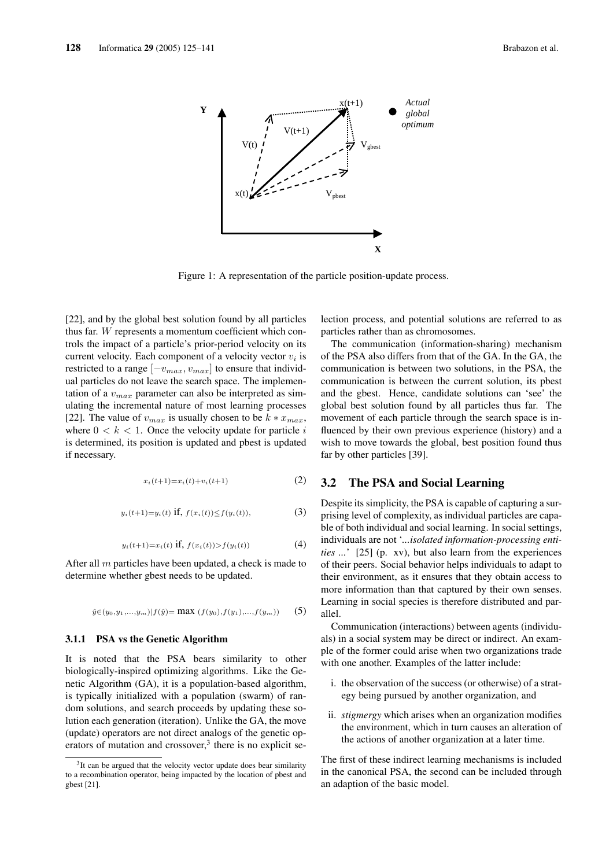

Figure 1: A representation of the particle position-update process.

[22], and by the global best solution found by all particles thus far. W represents a momentum coefficient which controls the impact of a particle's prior-period velocity on its current velocity. Each component of a velocity vector  $v_i$  is restricted to a range  $[-v_{max}, v_{max}]$  to ensure that individual particles do not leave the search space. The implementation of a  $v_{max}$  parameter can also be interpreted as simulating the incremental nature of most learning processes [22]. The value of  $v_{max}$  is usually chosen to be  $k * x_{max}$ , where  $0 < k < 1$ . Once the velocity update for particle i is determined, its position is updated and pbest is updated if necessary.

$$
x_i(t+1) = x_i(t) + v_i(t+1)
$$
 (2)

$$
y_i(t+1) = y_i(t) \text{ if, } f(x_i(t)) \le f(y_i(t)), \tag{3}
$$

$$
y_i(t+1) = x_i(t) \text{ if, } f(x_i(t)) > f(y_i(t))
$$
 (4)

After all  $m$  particles have been updated, a check is made to determine whether gbest needs to be updated.

$$
\hat{y}\in(y_0,y_1,...,y_m)|f(\hat{y})=\max\ (f(y_0),f(y_1),...,f(y_m))\qquad(5)
$$

#### 3.1.1 PSA vs the Genetic Algorithm

It is noted that the PSA bears similarity to other biologically-inspired optimizing algorithms. Like the Genetic Algorithm (GA), it is a population-based algorithm, is typically initialized with a population (swarm) of random solutions, and search proceeds by updating these solution each generation (iteration). Unlike the GA, the move (update) operators are not direct analogs of the genetic operators of mutation and crossover,<sup>3</sup> there is no explicit selection process, and potential solutions are referred to as particles rather than as chromosomes.

The communication (information-sharing) mechanism of the PSA also differs from that of the GA. In the GA, the communication is between two solutions, in the PSA, the communication is between the current solution, its pbest and the gbest. Hence, candidate solutions can 'see' the global best solution found by all particles thus far. The movement of each particle through the search space is influenced by their own previous experience (history) and a wish to move towards the global, best position found thus far by other particles [39].

## 3.2 The PSA and Social Learning

Despite its simplicity, the PSA is capable of capturing a surprising level of complexity, as individual particles are capable of both individual and social learning. In social settings, individuals are not '*...isolated information-processing entities ...*' [25] (p. xv), but also learn from the experiences of their peers. Social behavior helps individuals to adapt to their environment, as it ensures that they obtain access to more information than that captured by their own senses. Learning in social species is therefore distributed and parallel.

Communication (interactions) between agents (individuals) in a social system may be direct or indirect. An example of the former could arise when two organizations trade with one another. Examples of the latter include:

- i. the observation of the success (or otherwise) of a strategy being pursued by another organization, and
- ii. *stigmergy* which arises when an organization modifies the environment, which in turn causes an alteration of the actions of another organization at a later time.

The first of these indirect learning mechanisms is included in the canonical PSA, the second can be included through an adaption of the basic model.

<sup>&</sup>lt;sup>3</sup>It can be argued that the velocity vector update does bear similarity to a recombination operator, being impacted by the location of pbest and gbest [21].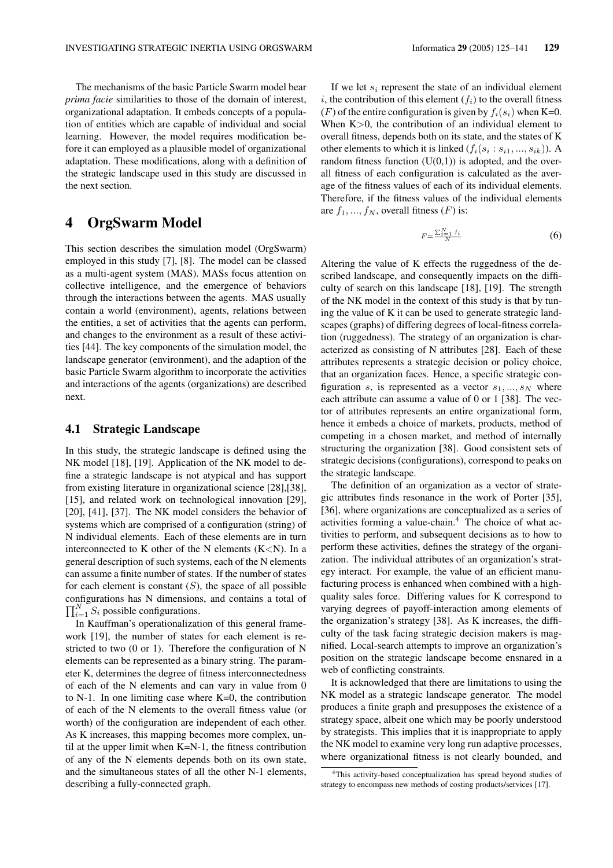The mechanisms of the basic Particle Swarm model bear *prima facie* similarities to those of the domain of interest, organizational adaptation. It embeds concepts of a population of entities which are capable of individual and social learning. However, the model requires modification before it can employed as a plausible model of organizational adaptation. These modifications, along with a definition of the strategic landscape used in this study are discussed in the next section.

# 4 OrgSwarm Model

This section describes the simulation model (OrgSwarm) employed in this study [7], [8]. The model can be classed as a multi-agent system (MAS). MASs focus attention on collective intelligence, and the emergence of behaviors through the interactions between the agents. MAS usually contain a world (environment), agents, relations between the entities, a set of activities that the agents can perform, and changes to the environment as a result of these activities [44]. The key components of the simulation model, the landscape generator (environment), and the adaption of the basic Particle Swarm algorithm to incorporate the activities and interactions of the agents (organizations) are described next.

## 4.1 Strategic Landscape

In this study, the strategic landscape is defined using the NK model [18], [19]. Application of the NK model to define a strategic landscape is not atypical and has support from existing literature in organizational science [28],[38], [15], and related work on technological innovation [29], [20], [41], [37]. The NK model considers the behavior of systems which are comprised of a configuration (string) of N individual elements. Each of these elements are in turn interconnected to K other of the N elements  $(K < N)$ . In a general description of such systems, each of the N elements can assume a finite number of states. If the number of states for each element is constant  $(S)$ , the space of all possible configurations has N dimensions, and contains a total of  $\Pi^N$ ,  $S$  accessible configurations.  $\prod_{i=1}^{N} S_i$  possible configurations.

In Kauffman's operationalization of this general framework [19], the number of states for each element is restricted to two (0 or 1). Therefore the configuration of N elements can be represented as a binary string. The parameter K, determines the degree of fitness interconnectedness of each of the N elements and can vary in value from 0 to N-1. In one limiting case where K=0, the contribution of each of the N elements to the overall fitness value (or worth) of the configuration are independent of each other. As K increases, this mapping becomes more complex, until at the upper limit when K=N-1, the fitness contribution of any of the N elements depends both on its own state, and the simultaneous states of all the other N-1 elements, describing a fully-connected graph.

i, the contribution of this element  $(f_i)$  to the overall fitness (F) of the entire configuration is given by  $f_i(s_i)$  when K=0. When K > 0, the contribution of an individual element to overall fitness, depends both on its state, and the states of K other elements to which it is linked  $(f_i(s_i:s_{i1},...,s_{ik}))$ . A random fitness function  $(U(0,1))$  is adopted, and the overall fitness of each configuration is calculated as the average of the fitness values of each of its individual elements. Therefore, if the fitness values of the individual elements are  $f_1, ..., f_N$ , overall fitness  $(F)$  is:

$$
F = \frac{\sum_{i=1}^{N} f_i}{N} \tag{6}
$$

Altering the value of K effects the ruggedness of the described landscape, and consequently impacts on the difficulty of search on this landscape [18], [19]. The strength of the NK model in the context of this study is that by tuning the value of K it can be used to generate strategic landscapes (graphs) of differing degrees of local-fitness correlation (ruggedness). The strategy of an organization is characterized as consisting of N attributes [28]. Each of these attributes represents a strategic decision or policy choice, that an organization faces. Hence, a specific strategic configuration s, is represented as a vector  $s_1, ..., s_N$  where each attribute can assume a value of 0 or 1 [38]. The vector of attributes represents an entire organizational form, hence it embeds a choice of markets, products, method of competing in a chosen market, and method of internally structuring the organization [38]. Good consistent sets of strategic decisions (configurations), correspond to peaks on the strategic landscape.

The definition of an organization as a vector of strategic attributes finds resonance in the work of Porter [35], [36], where organizations are conceptualized as a series of activities forming a value-chain. $4$  The choice of what activities to perform, and subsequent decisions as to how to perform these activities, defines the strategy of the organization. The individual attributes of an organization's strategy interact. For example, the value of an efficient manufacturing process is enhanced when combined with a highquality sales force. Differing values for K correspond to varying degrees of payoff-interaction among elements of the organization's strategy [38]. As K increases, the difficulty of the task facing strategic decision makers is magnified. Local-search attempts to improve an organization's position on the strategic landscape become ensnared in a web of conflicting constraints.

It is acknowledged that there are limitations to using the NK model as a strategic landscape generator. The model produces a finite graph and presupposes the existence of a strategy space, albeit one which may be poorly understood by strategists. This implies that it is inappropriate to apply the NK model to examine very long run adaptive processes, where organizational fitness is not clearly bounded, and

<sup>4</sup>This activity-based conceptualization has spread beyond studies of strategy to encompass new methods of costing products/services [17].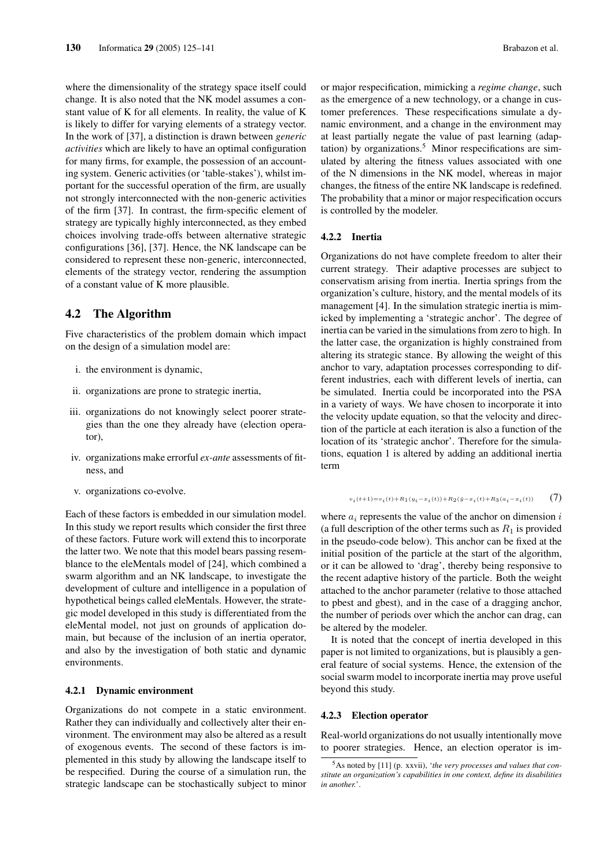where the dimensionality of the strategy space itself could change. It is also noted that the NK model assumes a constant value of K for all elements. In reality, the value of K is likely to differ for varying elements of a strategy vector. In the work of [37], a distinction is drawn between *generic activities* which are likely to have an optimal configuration for many firms, for example, the possession of an accounting system. Generic activities (or 'table-stakes'), whilst important for the successful operation of the firm, are usually not strongly interconnected with the non-generic activities of the firm [37]. In contrast, the firm-specific element of strategy are typically highly interconnected, as they embed choices involving trade-offs between alternative strategic configurations [36], [37]. Hence, the NK landscape can be considered to represent these non-generic, interconnected, elements of the strategy vector, rendering the assumption of a constant value of K more plausible.

## 4.2 The Algorithm

Five characteristics of the problem domain which impact on the design of a simulation model are:

- i. the environment is dynamic,
- ii. organizations are prone to strategic inertia,
- iii. organizations do not knowingly select poorer strategies than the one they already have (election operator),
- iv. organizations make errorful *ex-ante* assessments of fitness, and
- v. organizations co-evolve.

Each of these factors is embedded in our simulation model. In this study we report results which consider the first three of these factors. Future work will extend this to incorporate the latter two. We note that this model bears passing resemblance to the eleMentals model of [24], which combined a swarm algorithm and an NK landscape, to investigate the development of culture and intelligence in a population of hypothetical beings called eleMentals. However, the strategic model developed in this study is differentiated from the eleMental model, not just on grounds of application domain, but because of the inclusion of an inertia operator, and also by the investigation of both static and dynamic environments.

#### 4.2.1 Dynamic environment

Organizations do not compete in a static environment. Rather they can individually and collectively alter their environment. The environment may also be altered as a result of exogenous events. The second of these factors is implemented in this study by allowing the landscape itself to be respecified. During the course of a simulation run, the strategic landscape can be stochastically subject to minor or major respecification, mimicking a *regime change*, such as the emergence of a new technology, or a change in customer preferences. These respecifications simulate a dynamic environment, and a change in the environment may at least partially negate the value of past learning (adaptation) by organizations.<sup>5</sup> Minor respecifications are simulated by altering the fitness values associated with one of the N dimensions in the NK model, whereas in major changes, the fitness of the entire NK landscape is redefined. The probability that a minor or major respecification occurs is controlled by the modeler.

#### 4.2.2 Inertia

Organizations do not have complete freedom to alter their current strategy. Their adaptive processes are subject to conservatism arising from inertia. Inertia springs from the organization's culture, history, and the mental models of its management [4]. In the simulation strategic inertia is mimicked by implementing a 'strategic anchor'. The degree of inertia can be varied in the simulations from zero to high. In the latter case, the organization is highly constrained from altering its strategic stance. By allowing the weight of this anchor to vary, adaptation processes corresponding to different industries, each with different levels of inertia, can be simulated. Inertia could be incorporated into the PSA in a variety of ways. We have chosen to incorporate it into the velocity update equation, so that the velocity and direction of the particle at each iteration is also a function of the location of its 'strategic anchor'. Therefore for the simulations, equation 1 is altered by adding an additional inertia term

#### $v_{\,i}\,(\,t+1)=\!v_{\,i}\,(\,t)+R_{\,1}\,(\,y_{\,i}-x_{\,i}\,(\,t))+R_{\,2}\,(\,\hat{y}-x_{\,i}\,(\,t)+R_{\,3}\,(\,a_{\,i}-x_{\,i}$  $(7)$

where  $a_i$  represents the value of the anchor on dimension i (a full description of the other terms such as  $R_1$  is provided in the pseudo-code below). This anchor can be fixed at the initial position of the particle at the start of the algorithm, or it can be allowed to 'drag', thereby being responsive to the recent adaptive history of the particle. Both the weight attached to the anchor parameter (relative to those attached to pbest and gbest), and in the case of a dragging anchor, the number of periods over which the anchor can drag, can be altered by the modeler.

It is noted that the concept of inertia developed in this paper is not limited to organizations, but is plausibly a general feature of social systems. Hence, the extension of the social swarm model to incorporate inertia may prove useful beyond this study.

#### 4.2.3 Election operator

Real-world organizations do not usually intentionally move to poorer strategies. Hence, an election operator is im-

<sup>5</sup>As noted by [11] (p. xxvii), '*the very processes and values that constitute an organization's capabilities in one context, define its disabilities in another.*'.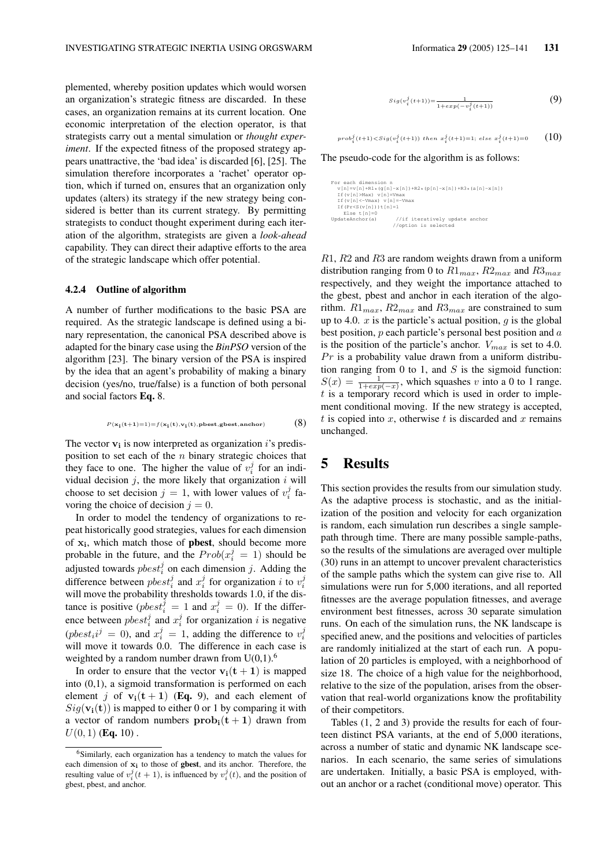plemented, whereby position updates which would worsen an organization's strategic fitness are discarded. In these cases, an organization remains at its current location. One economic interpretation of the election operator, is that strategists carry out a mental simulation or *thought experiment*. If the expected fitness of the proposed strategy appears unattractive, the 'bad idea' is discarded [6], [25]. The simulation therefore incorporates a 'rachet' operator option, which if turned on, ensures that an organization only updates (alters) its strategy if the new strategy being considered is better than its current strategy. By permitting strategists to conduct thought experiment during each iteration of the algorithm, strategists are given a *look-ahead* capability. They can direct their adaptive efforts to the area of the strategic landscape which offer potential.

### 4.2.4 Outline of algorithm

A number of further modifications to the basic PSA are required. As the strategic landscape is defined using a binary representation, the canonical PSA described above is adapted for the binary case using the *BinPSO* version of the algorithm [23]. The binary version of the PSA is inspired by the idea that an agent's probability of making a binary decision (yes/no, true/false) is a function of both personal and social factors Eq. 8.

$$
\scriptstyle P(\mathbf{x_i}(t+1)=1)=f(\mathbf{x_i}(t),\mathbf{v_i}(t),\mathbf{pbest},\mathbf{gbest},\mathbf{anchor}) \qquad \qquad \textbf{(8)}
$$

The vector  $v_i$  is now interpreted as organization i's predisposition to set each of the  $n$  binary strategic choices that they face to one. The higher the value of  $v_i^j$  for an individual decision  $j$ , the more likely that organization  $i$  will choose to set decision  $j = 1$ , with lower values of  $v_i^j$  favoring the choice of decision  $j = 0$ .

In order to model the tendency of organizations to repeat historically good strategies, values for each dimension of  $x_i$ , which match those of **pbest**, should become more probable in the future, and the  $Prob(x_i^j = 1)$  should be adjusted towards  $pbest_i^j$  on each dimension j. Adding the difference between  $pbest_i^j$  and  $x_i^j$  for organization *i* to  $v_i^j$ will move the probability thresholds towards 1.0, if the distance is positive ( $pbest_i^j = 1$  and  $x_i^j = 0$ ). If the difference between  $pbest_i^j$  and  $x_i^j$  for organization i is negative (*pbest<sub>i</sub>* $i^j = 0$ ), and  $x_i^j = 1$ , adding the difference to  $v_i^j$ will move it towards 0.0. The difference in each case is weighted by a random number drawn from  $U(0,1)$ .<sup>6</sup>

In order to ensure that the vector  $v_i(t + 1)$  is mapped into (0,1), a sigmoid transformation is performed on each element j of  $v_i(t + 1)$  (Eq. 9), and each element of  $Sig(\mathbf{v}_i(t))$  is mapped to either 0 or 1 by comparing it with a vector of random numbers  $prob_i(t + 1)$  drawn from  $U(0, 1)$  (**Eq.** 10).

$$
Sig(v_i^j(t+1)) = \frac{1}{1 + exp(-v_i^j(t+1))}
$$
\n(9)

$$
\text{prob}_{i}^{j}(t+1) < \text{Sig}(v_{i}^{j}(t+1)) \text{ then } x_{i}^{j}(t+1) = 1; \text{ else } x_{i}^{j}(t+1) = 0 \qquad (10)
$$

The pseudo-code for the algorithm is as follows:

```
For each dimension n<br>
v[n]=v[n]+R1*(g[n]-x[n])+R2*(p[n]-x[n])+R3*(a[n]-x[n])<br>
If(v[n]>Max) v[n]=Vmax<br>
If(v[n]<-Vmax) v[n]=-Vmax
   If(Pr<S(v[n]))t[n]=1
Else t[n]=0
UpdateAnchor(a) //if iteratively update anchor
//option is selected
```
 $R1, R2$  and  $R3$  are random weights drawn from a uniform distribution ranging from 0 to  $R1_{max}$ ,  $R2_{max}$  and  $R3_{max}$ respectively, and they weight the importance attached to the gbest, pbest and anchor in each iteration of the algorithm.  $R1_{max}$ ,  $R2_{max}$  and  $R3_{max}$  are constrained to sum up to 4.0.  $x$  is the particle's actual position,  $g$  is the global best position,  $p$  each particle's personal best position and  $a$ is the position of the particle's anchor.  $V_{max}$  is set to 4.0.  $Pr$  is a probability value drawn from a uniform distribution ranging from  $0$  to 1, and  $S$  is the sigmoid function:  $S(x) = \frac{1}{1 + exp(-x)}$ , which squashes v into a 0 to 1 range.  $t$  is a temporary record which is used in order to implement conditional moving. If the new strategy is accepted, t is copied into x, otherwise t is discarded and x remains unchanged.

# 5 Results

This section provides the results from our simulation study. As the adaptive process is stochastic, and as the initialization of the position and velocity for each organization is random, each simulation run describes a single samplepath through time. There are many possible sample-paths, so the results of the simulations are averaged over multiple (30) runs in an attempt to uncover prevalent characteristics of the sample paths which the system can give rise to. All simulations were run for 5,000 iterations, and all reported fitnesses are the average population fitnesses, and average environment best fitnesses, across 30 separate simulation runs. On each of the simulation runs, the NK landscape is specified anew, and the positions and velocities of particles are randomly initialized at the start of each run. A population of 20 particles is employed, with a neighborhood of size 18. The choice of a high value for the neighborhood, relative to the size of the population, arises from the observation that real-world organizations know the profitability of their competitors.

Tables (1, 2 and 3) provide the results for each of fourteen distinct PSA variants, at the end of 5,000 iterations, across a number of static and dynamic NK landscape scenarios. In each scenario, the same series of simulations are undertaken. Initially, a basic PSA is employed, without an anchor or a rachet (conditional move) operator. This

<sup>6</sup>Similarly, each organization has a tendency to match the values for each dimension of  $x_i$  to those of **gbest**, and its anchor. Therefore, the resulting value of  $v_i^j(t + 1)$ , is influenced by  $v_i^j(t)$ , and the position of gbest, pbest, and anchor.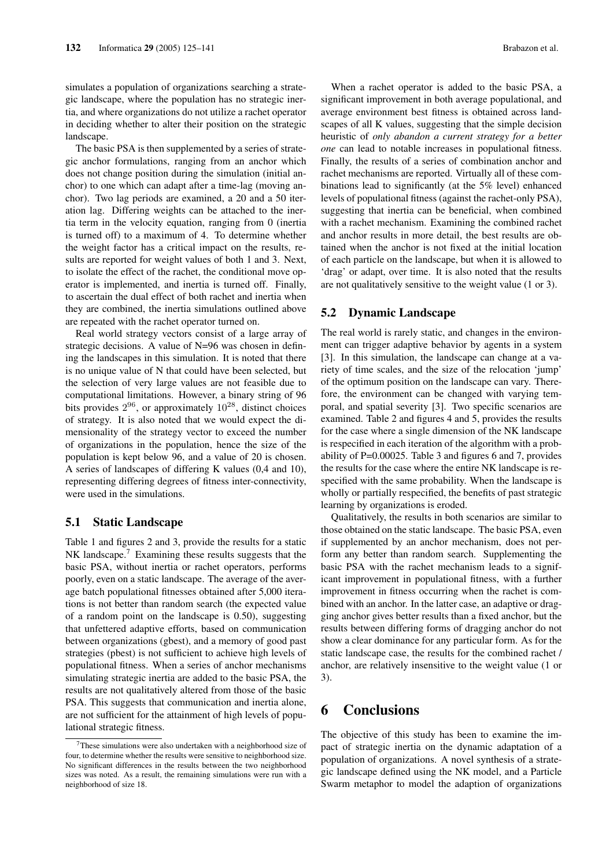simulates a population of organizations searching a strategic landscape, where the population has no strategic inertia, and where organizations do not utilize a rachet operator in deciding whether to alter their position on the strategic landscape.

The basic PSA is then supplemented by a series of strategic anchor formulations, ranging from an anchor which does not change position during the simulation (initial anchor) to one which can adapt after a time-lag (moving anchor). Two lag periods are examined, a 20 and a 50 iteration lag. Differing weights can be attached to the inertia term in the velocity equation, ranging from 0 (inertia is turned off) to a maximum of 4. To determine whether the weight factor has a critical impact on the results, results are reported for weight values of both 1 and 3. Next, to isolate the effect of the rachet, the conditional move operator is implemented, and inertia is turned off. Finally, to ascertain the dual effect of both rachet and inertia when they are combined, the inertia simulations outlined above are repeated with the rachet operator turned on.

Real world strategy vectors consist of a large array of strategic decisions. A value of N=96 was chosen in defining the landscapes in this simulation. It is noted that there is no unique value of N that could have been selected, but the selection of very large values are not feasible due to computational limitations. However, a binary string of 96 bits provides  $2^{96}$ , or approximately  $10^{28}$ , distinct choices of strategy. It is also noted that we would expect the dimensionality of the strategy vector to exceed the number of organizations in the population, hence the size of the population is kept below 96, and a value of 20 is chosen. A series of landscapes of differing K values (0,4 and 10), representing differing degrees of fitness inter-connectivity, were used in the simulations.

## 5.1 Static Landscape

Table 1 and figures 2 and 3, provide the results for a static NK landscape.<sup>7</sup> Examining these results suggests that the basic PSA, without inertia or rachet operators, performs poorly, even on a static landscape. The average of the average batch populational fitnesses obtained after 5,000 iterations is not better than random search (the expected value of a random point on the landscape is 0.50), suggesting that unfettered adaptive efforts, based on communication between organizations (gbest), and a memory of good past strategies (pbest) is not sufficient to achieve high levels of populational fitness. When a series of anchor mechanisms simulating strategic inertia are added to the basic PSA, the results are not qualitatively altered from those of the basic PSA. This suggests that communication and inertia alone, are not sufficient for the attainment of high levels of populational strategic fitness.

When a rachet operator is added to the basic PSA, a significant improvement in both average populational, and average environment best fitness is obtained across landscapes of all K values, suggesting that the simple decision heuristic of *only abandon a current strategy for a better one* can lead to notable increases in populational fitness. Finally, the results of a series of combination anchor and rachet mechanisms are reported. Virtually all of these combinations lead to significantly (at the 5% level) enhanced levels of populational fitness (against the rachet-only PSA), suggesting that inertia can be beneficial, when combined with a rachet mechanism. Examining the combined rachet and anchor results in more detail, the best results are obtained when the anchor is not fixed at the initial location of each particle on the landscape, but when it is allowed to 'drag' or adapt, over time. It is also noted that the results are not qualitatively sensitive to the weight value (1 or 3).

## 5.2 Dynamic Landscape

The real world is rarely static, and changes in the environment can trigger adaptive behavior by agents in a system [3]. In this simulation, the landscape can change at a variety of time scales, and the size of the relocation 'jump' of the optimum position on the landscape can vary. Therefore, the environment can be changed with varying temporal, and spatial severity [3]. Two specific scenarios are examined. Table 2 and figures 4 and 5, provides the results for the case where a single dimension of the NK landscape is respecified in each iteration of the algorithm with a probability of P=0.00025. Table 3 and figures 6 and 7, provides the results for the case where the entire NK landscape is respecified with the same probability. When the landscape is wholly or partially respecified, the benefits of past strategic learning by organizations is eroded.

Qualitatively, the results in both scenarios are similar to those obtained on the static landscape. The basic PSA, even if supplemented by an anchor mechanism, does not perform any better than random search. Supplementing the basic PSA with the rachet mechanism leads to a significant improvement in populational fitness, with a further improvement in fitness occurring when the rachet is combined with an anchor. In the latter case, an adaptive or dragging anchor gives better results than a fixed anchor, but the results between differing forms of dragging anchor do not show a clear dominance for any particular form. As for the static landscape case, the results for the combined rachet / anchor, are relatively insensitive to the weight value (1 or 3).

# 6 Conclusions

The objective of this study has been to examine the impact of strategic inertia on the dynamic adaptation of a population of organizations. A novel synthesis of a strategic landscape defined using the NK model, and a Particle Swarm metaphor to model the adaption of organizations

 $7$ These simulations were also undertaken with a neighborhood size of four, to determine whether the results were sensitive to neighborhood size. No significant differences in the results between the two neighborhood sizes was noted. As a result, the remaining simulations were run with a neighborhood of size 18.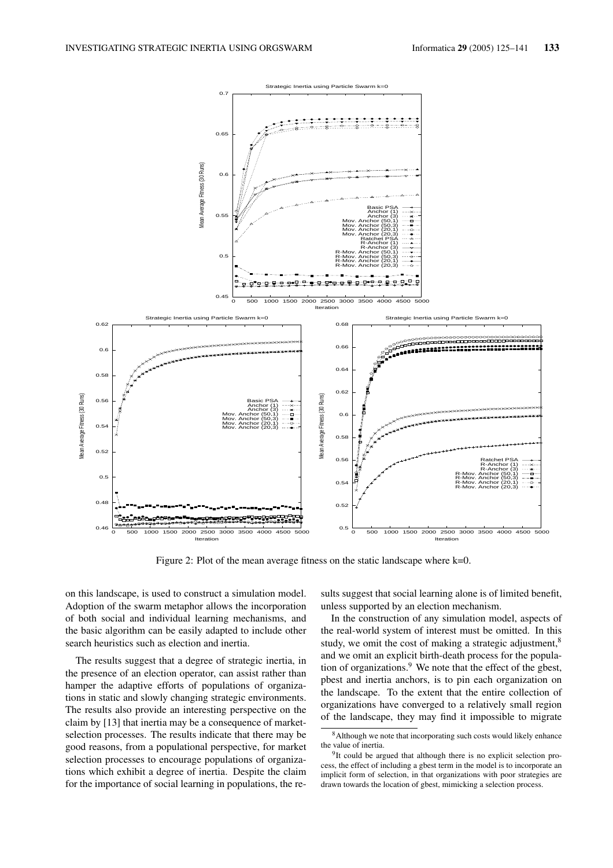

Figure 2: Plot of the mean average fitness on the static landscape where k=0.

on this landscape, is used to construct a simulation model. Adoption of the swarm metaphor allows the incorporation of both social and individual learning mechanisms, and the basic algorithm can be easily adapted to include other search heuristics such as election and inertia.

The results suggest that a degree of strategic inertia, in the presence of an election operator, can assist rather than hamper the adaptive efforts of populations of organizations in static and slowly changing strategic environments. The results also provide an interesting perspective on the claim by [13] that inertia may be a consequence of marketselection processes. The results indicate that there may be good reasons, from a populational perspective, for market selection processes to encourage populations of organizations which exhibit a degree of inertia. Despite the claim for the importance of social learning in populations, the results suggest that social learning alone is of limited benefit. unless supported by an election mechanism.

In the construction of any simulation model, aspects of the real-world system of interest must be omitted. In this study, we omit the cost of making a strategic adjustment,<sup>8</sup> and we omit an explicit birth-death process for the population of organizations.<sup>9</sup> We note that the effect of the gbest, pbest and inertia anchors, is to pin each organization on the landscape. To the extent that the entire collection of organizations have converged to a relatively small region of the landscape, they may find it impossible to migrate

<sup>&</sup>lt;sup>8</sup>Although we note that incorporating such costs would likely enhance the value of inertia.

<sup>&</sup>lt;sup>9</sup>It could be argued that although there is no explicit selection process, the effect of including a gbest term in the model is to incorporate an implicit form of selection, in that organizations with poor strategies are drawn towards the location of gbest, mimicking a selection process.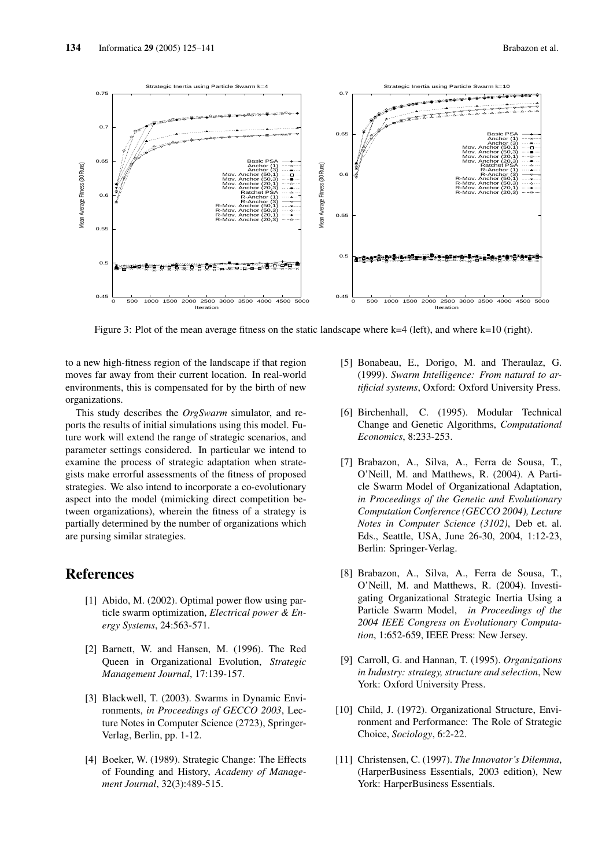

Figure 3: Plot of the mean average fitness on the static landscape where  $k=4$  (left), and where  $k=10$  (right).

to a new high-fitness region of the landscape if that region moves far away from their current location. In real-world environments, this is compensated for by the birth of new organizations.

This study describes the *OrgSwarm* simulator, and reports the results of initial simulations using this model. Future work will extend the range of strategic scenarios, and parameter settings considered. In particular we intend to examine the process of strategic adaptation when strategists make errorful assessments of the fitness of proposed strategies. We also intend to incorporate a co-evolutionary aspect into the model (mimicking direct competition between organizations), wherein the fitness of a strategy is partially determined by the number of organizations which are pursing similar strategies.

# References

- [1] Abido, M. (2002). Optimal power flow using particle swarm optimization, *Electrical power & Energy Systems*, 24:563-571.
- [2] Barnett, W. and Hansen, M. (1996). The Red Queen in Organizational Evolution, *Strategic Management Journal*, 17:139-157.
- [3] Blackwell, T. (2003). Swarms in Dynamic Environments, *in Proceedings of GECCO 2003*, Lecture Notes in Computer Science (2723), Springer-Verlag, Berlin, pp. 1-12.
- [4] Boeker, W. (1989). Strategic Change: The Effects of Founding and History, *Academy of Management Journal*, 32(3):489-515.
- [5] Bonabeau, E., Dorigo, M. and Theraulaz, G. (1999). *Swarm Intelligence: From natural to artificial systems*, Oxford: Oxford University Press.
- [6] Birchenhall, C. (1995). Modular Technical Change and Genetic Algorithms, *Computational Economics*, 8:233-253.
- [7] Brabazon, A., Silva, A., Ferra de Sousa, T., O'Neill, M. and Matthews, R. (2004). A Particle Swarm Model of Organizational Adaptation, *in Proceedings of the Genetic and Evolutionary Computation Conference (GECCO 2004), Lecture Notes in Computer Science (3102)*, Deb et. al. Eds., Seattle, USA, June 26-30, 2004, 1:12-23, Berlin: Springer-Verlag.
- [8] Brabazon, A., Silva, A., Ferra de Sousa, T., O'Neill, M. and Matthews, R. (2004). Investigating Organizational Strategic Inertia Using a Particle Swarm Model, *in Proceedings of the 2004 IEEE Congress on Evolutionary Computation*, 1:652-659, IEEE Press: New Jersey.
- [9] Carroll, G. and Hannan, T. (1995). *Organizations in Industry: strategy, structure and selection*, New York: Oxford University Press.
- [10] Child, J. (1972). Organizational Structure, Environment and Performance: The Role of Strategic Choice, *Sociology*, 6:2-22.
- [11] Christensen, C. (1997). *The Innovator's Dilemma*, (HarperBusiness Essentials, 2003 edition), New York: HarperBusiness Essentials.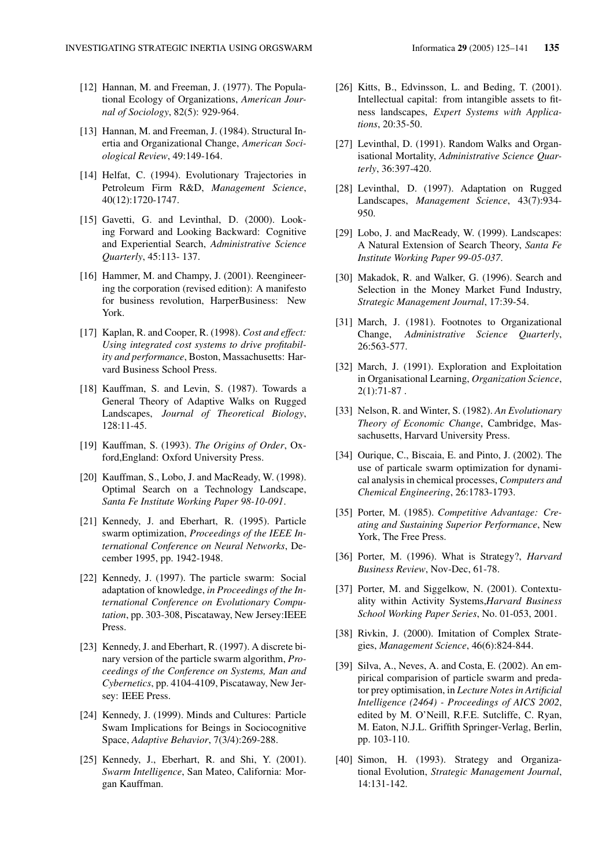- [12] Hannan, M. and Freeman, J. (1977). The Populational Ecology of Organizations, *American Journal of Sociology*, 82(5): 929-964.
- [13] Hannan, M. and Freeman, J. (1984). Structural Inertia and Organizational Change, *American Sociological Review*, 49:149-164.
- [14] Helfat, C. (1994). Evolutionary Trajectories in Petroleum Firm R&D, *Management Science*, 40(12):1720-1747.
- [15] Gavetti, G. and Levinthal, D. (2000). Looking Forward and Looking Backward: Cognitive and Experiential Search, *Administrative Science Quarterly*, 45:113- 137.
- [16] Hammer, M. and Champy, J. (2001). Reengineering the corporation (revised edition): A manifesto for business revolution, HarperBusiness: New York.
- [17] Kaplan, R. and Cooper, R. (1998). *Cost and effect: Using integrated cost systems to drive profitability and performance*, Boston, Massachusetts: Harvard Business School Press.
- [18] Kauffman, S. and Levin, S. (1987). Towards a General Theory of Adaptive Walks on Rugged Landscapes, *Journal of Theoretical Biology*, 128:11-45.
- [19] Kauffman, S. (1993). *The Origins of Order*, Oxford,England: Oxford University Press.
- [20] Kauffman, S., Lobo, J. and MacReady, W. (1998). Optimal Search on a Technology Landscape, *Santa Fe Institute Working Paper 98-10-091*.
- [21] Kennedy, J. and Eberhart, R. (1995). Particle swarm optimization, *Proceedings of the IEEE International Conference on Neural Networks*, December 1995, pp. 1942-1948.
- [22] Kennedy, J. (1997). The particle swarm: Social adaptation of knowledge, *in Proceedings of the International Conference on Evolutionary Computation*, pp. 303-308, Piscataway, New Jersey:IEEE Press.
- [23] Kennedy, J. and Eberhart, R. (1997). A discrete binary version of the particle swarm algorithm, *Proceedings of the Conference on Systems, Man and Cybernetics*, pp. 4104-4109, Piscataway, New Jersey: IEEE Press.
- [24] Kennedy, J. (1999). Minds and Cultures: Particle Swam Implications for Beings in Sociocognitive Space, *Adaptive Behavior*, 7(3/4):269-288.
- [25] Kennedy, J., Eberhart, R. and Shi, Y. (2001). *Swarm Intelligence*, San Mateo, California: Morgan Kauffman.
- [26] Kitts, B., Edvinsson, L. and Beding, T. (2001). Intellectual capital: from intangible assets to fitness landscapes, *Expert Systems with Applications*, 20:35-50.
- [27] Levinthal, D. (1991). Random Walks and Organisational Mortality, *Administrative Science Quarterly*, 36:397-420.
- [28] Levinthal, D. (1997). Adaptation on Rugged Landscapes, *Management Science*, 43(7):934- 950.
- [29] Lobo, J. and MacReady, W. (1999). Landscapes: A Natural Extension of Search Theory, *Santa Fe Institute Working Paper 99-05-037*.
- [30] Makadok, R. and Walker, G. (1996). Search and Selection in the Money Market Fund Industry, *Strategic Management Journal*, 17:39-54.
- [31] March, J. (1981). Footnotes to Organizational Change, *Administrative Science Quarterly*, 26:563-577.
- [32] March, J. (1991). Exploration and Exploitation in Organisational Learning, *Organization Science*,  $2(1):71-87$ .
- [33] Nelson, R. and Winter, S. (1982). *An Evolutionary Theory of Economic Change*, Cambridge, Massachusetts, Harvard University Press.
- [34] Ourique, C., Biscaia, E. and Pinto, J. (2002). The use of particale swarm optimization for dynamical analysis in chemical processes, *Computers and Chemical Engineering*, 26:1783-1793.
- [35] Porter, M. (1985). *Competitive Advantage: Creating and Sustaining Superior Performance*, New York, The Free Press.
- [36] Porter, M. (1996). What is Strategy?, *Harvard Business Review*, Nov-Dec, 61-78.
- [37] Porter, M. and Siggelkow, N. (2001). Contextuality within Activity Systems,*Harvard Business School Working Paper Series*, No. 01-053, 2001.
- [38] Rivkin, J. (2000). Imitation of Complex Strategies, *Management Science*, 46(6):824-844.
- [39] Silva, A., Neves, A. and Costa, E. (2002). An empirical comparision of particle swarm and predator prey optimisation, in *Lecture Notes in Artificial Intelligence (2464) - Proceedings of AICS 2002*, edited by M. O'Neill, R.F.E. Sutcliffe, C. Ryan, M. Eaton, N.J.L. Griffith Springer-Verlag, Berlin, pp. 103-110.
- [40] Simon, H. (1993). Strategy and Organizational Evolution, *Strategic Management Journal*, 14:131-142.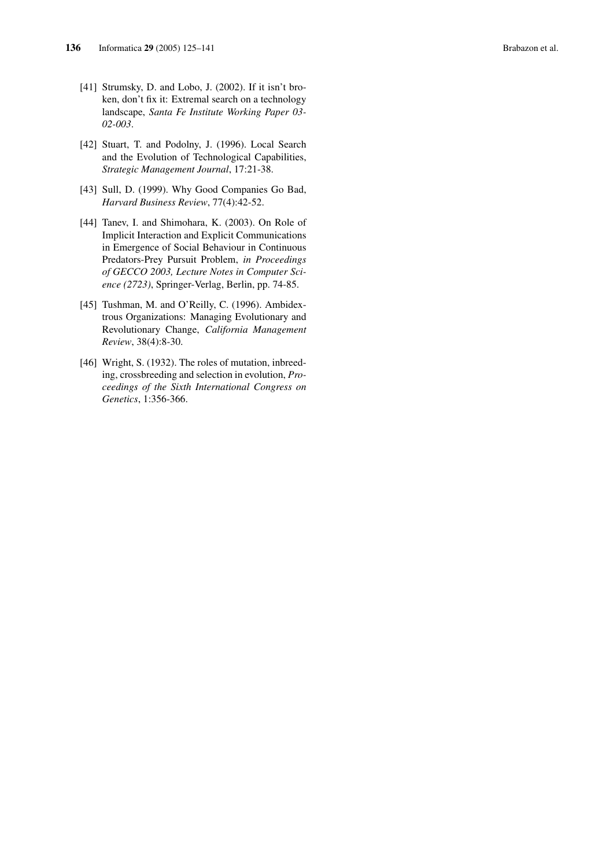- [41] Strumsky, D. and Lobo, J. (2002). If it isn't broken, don't fix it: Extremal search on a technology landscape, *Santa Fe Institute Working Paper 03- 02-003*.
- [42] Stuart, T. and Podolny, J. (1996). Local Search and the Evolution of Technological Capabilities, *Strategic Management Journal*, 17:21-38.
- [43] Sull, D. (1999). Why Good Companies Go Bad, *Harvard Business Review*, 77(4):42-52.
- [44] Tanev, I. and Shimohara, K. (2003). On Role of Implicit Interaction and Explicit Communications in Emergence of Social Behaviour in Continuous Predators-Prey Pursuit Problem, *in Proceedings of GECCO 2003, Lecture Notes in Computer Science (2723)*, Springer-Verlag, Berlin, pp. 74-85.
- [45] Tushman, M. and O'Reilly, C. (1996). Ambidextrous Organizations: Managing Evolutionary and Revolutionary Change, *California Management Review*, 38(4):8-30.
- [46] Wright, S. (1932). The roles of mutation, inbreeding, crossbreeding and selection in evolution, *Proceedings of the Sixth International Congress on Genetics*, 1:356-366.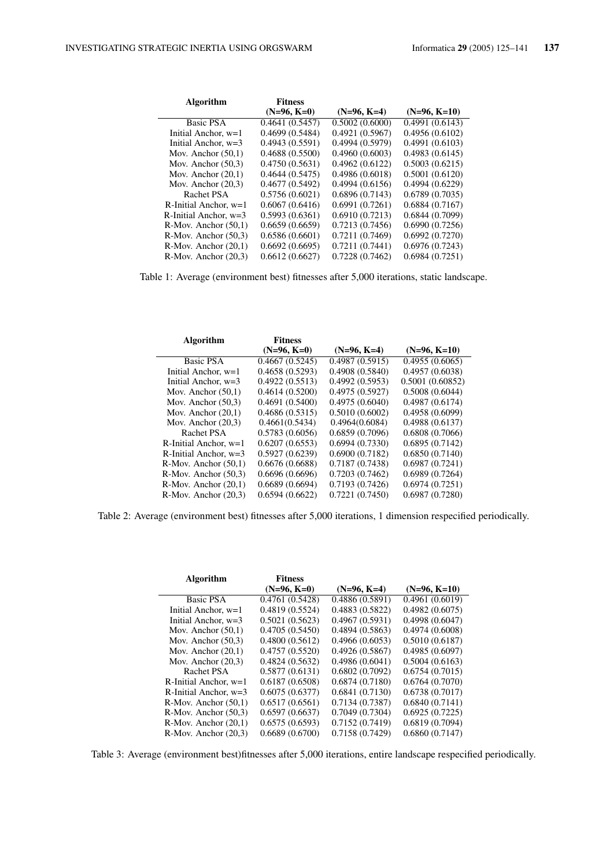| <b>Algorithm</b>          | <b>Fitness</b> |                |                |
|---------------------------|----------------|----------------|----------------|
|                           | $(N=96, K=0)$  | $(N=96, K=4)$  | $(N=96, K=10)$ |
| <b>Basic PSA</b>          | 0.4641(0.5457) | 0.5002(0.6000) | 0.4991(0.6143) |
| Initial Anchor, $w=1$     | 0.4699(0.5484) | 0.4921(0.5967) | 0.4956(0.6102) |
| Initial Anchor, $w=3$     | 0.4943(0.5591) | 0.4994(0.5979) | 0.4991(0.6103) |
| Mov. Anchor $(50,1)$      | 0.4688(0.5500) | 0.4960(0.6003) | 0.4983(0.6145) |
| Mov. Anchor $(50.3)$      | 0.4750(0.5631) | 0.4962(0.6122) | 0.5003(0.6215) |
| Mov. Anchor $(20,1)$      | 0.4644(0.5475) | 0.4986(0.6018) | 0.5001(0.6120) |
| Mov. Anchor $(20,3)$      | 0.4677(0.5492) | 0.4994(0.6156) | 0.4994(0.6229) |
| Rachet PSA                | 0.5756(0.6021) | 0.6896(0.7143) | 0.6789(0.7035) |
| R-Initial Anchor, $w=1$   | 0.6067(0.6416) | 0.6991(0.7261) | 0.6884(0.7167) |
| R-Initial Anchor. $w=3$   | 0.5993(0.6361) | 0.6910(0.7213) | 0.6844(0.7099) |
| $R-Mov.$ Anchor $(50,1)$  | 0.6659(0.6659) | 0.7213(0.7456) | 0.6990(0.7256) |
| $R-Mov$ . Anchor $(50.3)$ | 0.6586(0.6601) | 0.7211(0.7469) | 0.6992(0.7270) |
| $R-Mov.$ Anchor $(20,1)$  | 0.6692(0.6695) | 0.7211(0.7441) | 0.6976(0.7243) |
| $R-Mov.$ Anchor $(20,3)$  | 0.6612(0.6627) | 0.7228(0.7462) | 0.6984(0.7251) |

Table 1: Average (environment best) fitnesses after 5,000 iterations, static landscape.

| Algorithm                 | <b>Fitness</b> |                |                 |
|---------------------------|----------------|----------------|-----------------|
|                           | $(N=96, K=0)$  | $(N=96, K=4)$  | $(N=96, K=10)$  |
| Basic PSA                 | 0.4667(0.5245) | 0.4987(0.5915) | 0.4955(0.6065)  |
| Initial Anchor, $w=1$     | 0.4658(0.5293) | 0.4908(0.5840) | 0.4957(0.6038)  |
| Initial Anchor, $w=3$     | 0.4922(0.5513) | 0.4992(0.5953) | 0.5001(0.60852) |
| Mov. Anchor $(50,1)$      | 0.4614(0.5200) | 0.4975(0.5927) | 0.5008(0.6044)  |
| Mov. Anchor $(50.3)$      | 0.4691(0.5400) | 0.4975(0.6040) | 0.4987(0.6174)  |
| Mov. Anchor $(20,1)$      | 0.4686(0.5315) | 0.5010(0.6002) | 0.4958(0.6099)  |
| Mov. Anchor $(20,3)$      | 0.4661(0.5434) | 0.4964(0.6084) | 0.4988(0.6137)  |
| Rachet PSA                | 0.5783(0.6056) | 0.6859(0.7096) | 0.6808(0.7066)  |
| R-Initial Anchor, $w=1$   | 0.6207(0.6553) | 0.6994(0.7330) | 0.6895(0.7142)  |
| R-Initial Anchor. $w=3$   | 0.5927(0.6239) | 0.6900(0.7182) | 0.6850(0.7140)  |
| $R-Mov.$ Anchor $(50,1)$  | 0.6676(0.6688) | 0.7187(0.7438) | 0.6987(0.7241)  |
| $R-Mov.$ Anchor $(50,3)$  | 0.6696(0.6696) | 0.7203(0.7462) | 0.6989(0.7264)  |
| $R-Mov.$ Anchor $(20,1)$  | 0.6689(0.6694) | 0.7193(0.7426) | 0.6974(0.7251)  |
| $R-Mov$ . Anchor $(20.3)$ | 0.6594(0.6622) | 0.7221(0.7450) | 0.6987(0.7280)  |

Table 2: Average (environment best) fitnesses after 5,000 iterations, 1 dimension respecified periodically.

| <b>Algorithm</b>          | <b>Fitness</b> |                |                |
|---------------------------|----------------|----------------|----------------|
|                           | $(N=96, K=0)$  | $(N=96, K=4)$  | $(N=96, K=10)$ |
| <b>Basic PSA</b>          | 0.4761(0.5428) | 0.4886(0.5891) | 0.4961(0.6019) |
| Initial Anchor, w=1       | 0.4819(0.5524) | 0.4883(0.5822) | 0.4982(0.6075) |
| Initial Anchor, $w=3$     | 0.5021(0.5623) | 0.4967(0.5931) | 0.4998(0.6047) |
| Mov. Anchor $(50,1)$      | 0.4705(0.5450) | 0.4894(0.5863) | 0.4974(0.6008) |
| Mov. Anchor $(50.3)$      | 0.4800(0.5612) | 0.4966(0.6053) | 0.5010(0.6187) |
| Mov. Anchor $(20,1)$      | 0.4757(0.5520) | 0.4926(0.5867) | 0.4985(0.6097) |
| Mov. Anchor $(20.3)$      | 0.4824(0.5632) | 0.4986(0.6041) | 0.5004(0.6163) |
| Rachet PSA                | 0.5877(0.6131) | 0.6802(0.7092) | 0.6754(0.7015) |
| R-Initial Anchor, $w=1$   | 0.6187(0.6508) | 0.6874(0.7180) | 0.6764(0.7070) |
| R-Initial Anchor, $w=3$   | 0.6075(0.6377) | 0.6841(0.7130) | 0.6738(0.7017) |
| R-Mov. Anchor $(50,1)$    | 0.6517(0.6561) | 0.7134(0.7387) | 0.6840(0.7141) |
| $R-Mov$ . Anchor $(50.3)$ | 0.6597(0.6637) | 0.7049(0.7304) | 0.6925(0.7225) |
| R-Mov. Anchor $(20,1)$    | 0.6575(0.6593) | 0.7152(0.7419) | 0.6819(0.7094) |
| $R-Mov.$ Anchor $(20,3)$  | 0.6689(0.6700) | 0.7158(0.7429) | 0.6860(0.7147) |

Table 3: Average (environment best)fitnesses after 5,000 iterations, entire landscape respecified periodically.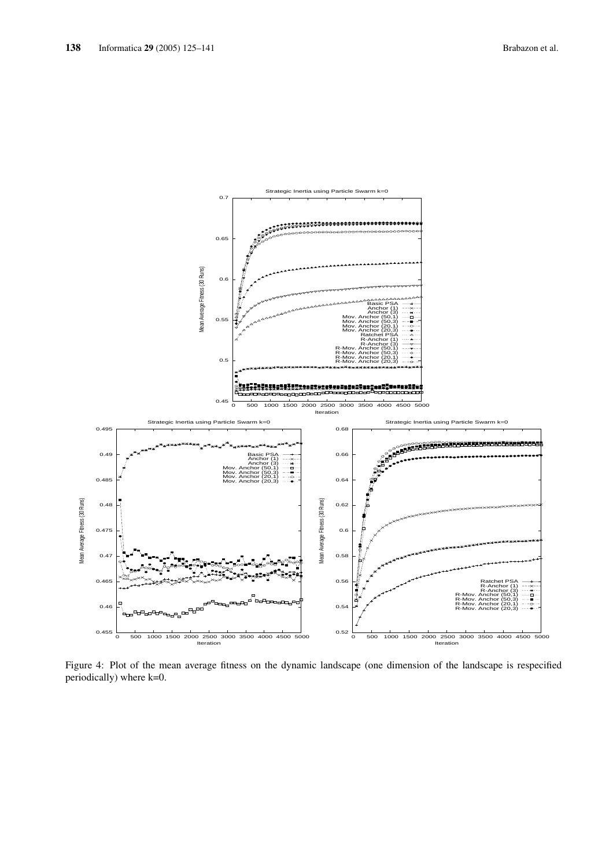

Figure 4: Plot of the mean average fitness on the dynamic landscape (one dimension of the landscape is respecified periodically) where k=0.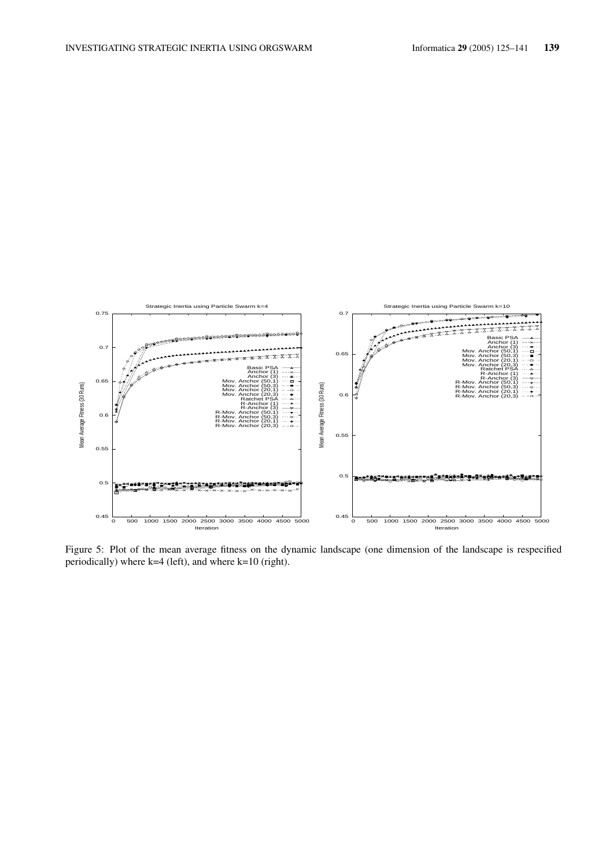

Figure 5: Plot of the mean average fitness on the dynamic landscape (one dimension of the landscape is respecified periodically) where  $k=4$  (left), and where  $k=10$  (right).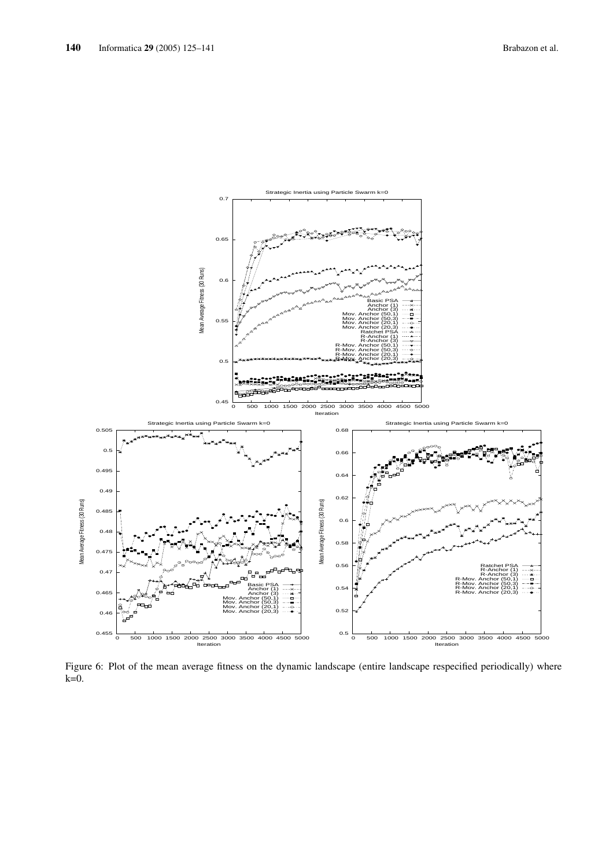

Figure 6: Plot of the mean average fitness on the dynamic landscape (entire landscape respecified periodically) where  $k=0$ .